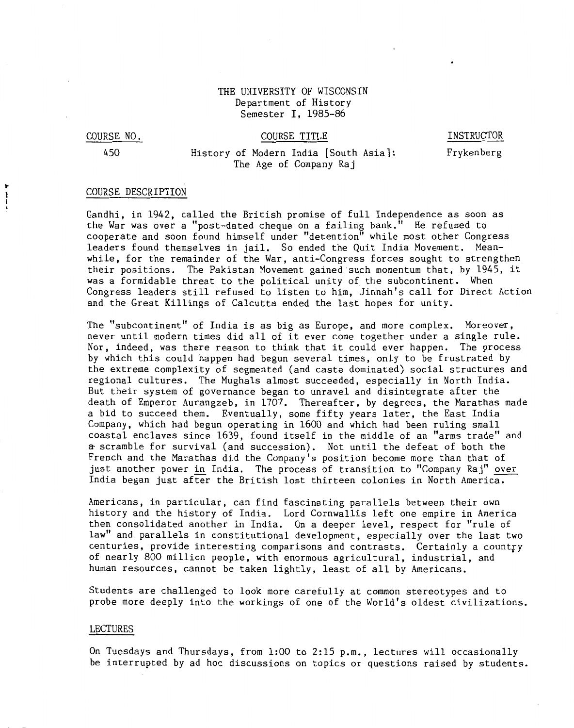## THE UNIVERSITY OF WISCONSIN Department of History Semester I, 1985-86

#### COURSE NO.

### COURSE TITLE

INSTRUCTOR

450

 $\ddot{\cdot}$ 

# History of Hodern India [South Asia]: The Age of Company Raj

# Frykenberg

## COURSE DESCRIPTION

Gandhi, in 1942, called the British promise of full Independence as soon as the War was over a "post-dated cheque on a failing bank." He refused to cooperate and soon found himself under "detention" while most other Congress leaders found themselves in jail. So ended the Quit India Movement. Meanwhile, for the remainder of the War, anti-Congress forces sought to strengthen their positions. The Pakistan Movement gained such momentum that, by 1945, it was a formidable threat to the political unity of the subcontinent. When Congress leaders still refused to listen to him, Jinnah's call for Direct Action and the Great Killings of Calcutta ended the last hopes for unity.

The "subcontinent" of India is as big as Europe, and more complex. Moreover, never until modern times did all of it ever come together under a single rule. Nor, indeed, was there reason to think that it could ever happen. The process by which this could happen had begun several times, only to be frustrated by the extreme complexity of segmented (and caste dominated) social structures and regional cultures. The Mughals almost succeeded, especially in North India. But their system of governance began to unravel and disintegrate after the death of Emperor Aurangzeb, in 1707. Thereafter, by degrees, the Marathas made a bid to succeed them. Eventually, some fifty years later, the East India Company, which had begun operating in 1600 and which had been ruling small coastal enclaves since 1639, found itself in the middle of an "arms trade" and ~scramble for survival (and succession). Not until the defeat of both the French and the Marathas did the Company's position become more than that of just another power in India. The process of transition to "Company Raj" over India began just after the British lost thirteen colonies in North America.

Americans, in particular, can find fascinating parallels between their own history and the history of India. Lord Cornwallis left one empire in America then consolidated another in India. On a deeper level, respect for "rule of law" and parallels in constitutional development, especially over the last two centuries, provide interesting comparisons and contrasts. Certainly a country of nearly 800 million people, with enormous agricultural, industrial, and human resources, cannot be taken lightly, least of all by Americans.

Students are challenged to look more carefully at common stereotypes and to probe more deeply into the workings of one of the World's oldest civilizations.

#### LECTURES

On Tuesdays and Thursdays, from 1:00 to 2:15 p.m., lectures will occasionally be interrupted by ad hoc discussions on topics or questions raised by students.